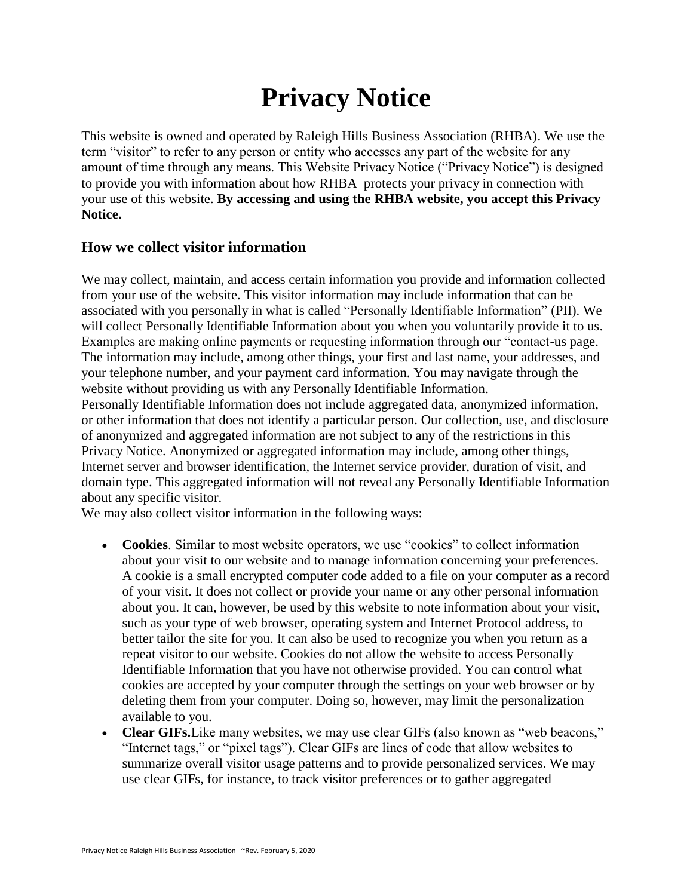# **Privacy Notice**

This website is owned and operated by Raleigh Hills Business Association (RHBA). We use the term "visitor" to refer to any person or entity who accesses any part of the website for any amount of time through any means. This Website Privacy Notice ("Privacy Notice") is designed to provide you with information about how RHBA protects your privacy in connection with your use of this website. **By accessing and using the RHBA website, you accept this Privacy Notice.**

#### **How we collect visitor information**

We may collect, maintain, and access certain information you provide and information collected from your use of the website. This visitor information may include information that can be associated with you personally in what is called "Personally Identifiable Information" (PII). We will collect Personally Identifiable Information about you when you voluntarily provide it to us. Examples are making online payments or requesting information through our "contact-us page. The information may include, among other things, your first and last name, your addresses, and your telephone number, and your payment card information. You may navigate through the website without providing us with any Personally Identifiable Information. Personally Identifiable Information does not include aggregated data, anonymized information, or other information that does not identify a particular person. Our collection, use, and disclosure of anonymized and aggregated information are not subject to any of the restrictions in this Privacy Notice. Anonymized or aggregated information may include, among other things, Internet server and browser identification, the Internet service provider, duration of visit, and domain type. This aggregated information will not reveal any Personally Identifiable Information about any specific visitor.

We may also collect visitor information in the following ways:

- **Cookies**. Similar to most website operators, we use "cookies" to collect information about your visit to our website and to manage information concerning your preferences. A cookie is a small encrypted computer code added to a file on your computer as a record of your visit. It does not collect or provide your name or any other personal information about you. It can, however, be used by this website to note information about your visit, such as your type of web browser, operating system and Internet Protocol address, to better tailor the site for you. It can also be used to recognize you when you return as a repeat visitor to our website. Cookies do not allow the website to access Personally Identifiable Information that you have not otherwise provided. You can control what cookies are accepted by your computer through the settings on your web browser or by deleting them from your computer. Doing so, however, may limit the personalization available to you.
- **Clear GIFs.**Like many websites, we may use clear GIFs (also known as "web beacons," "Internet tags," or "pixel tags"). Clear GIFs are lines of code that allow websites to summarize overall visitor usage patterns and to provide personalized services. We may use clear GIFs, for instance, to track visitor preferences or to gather aggregated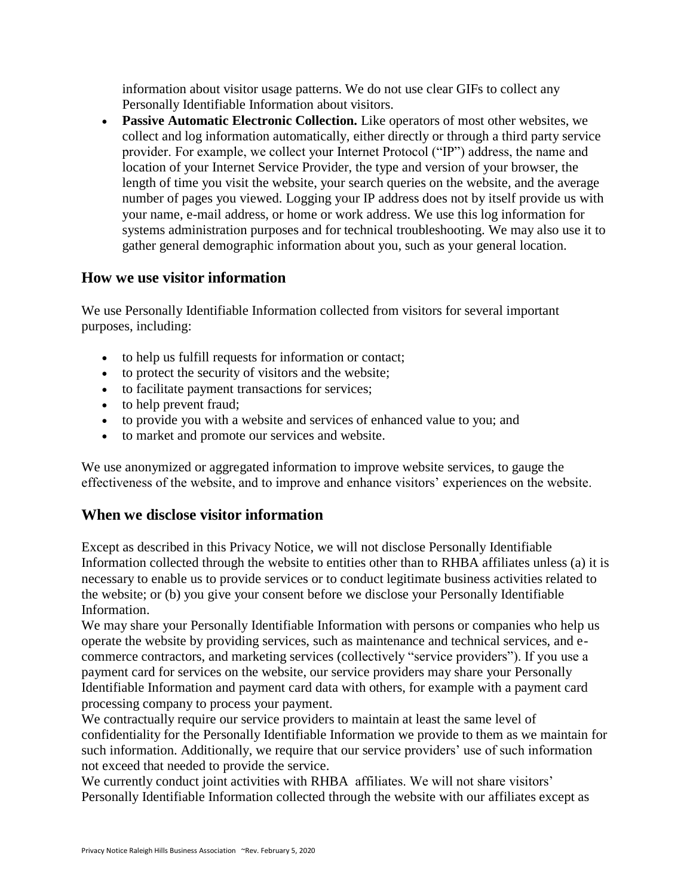information about visitor usage patterns. We do not use clear GIFs to collect any Personally Identifiable Information about visitors.

 **Passive Automatic Electronic Collection.** Like operators of most other websites, we collect and log information automatically, either directly or through a third party service provider. For example, we collect your Internet Protocol ("IP") address, the name and location of your Internet Service Provider, the type and version of your browser, the length of time you visit the website, your search queries on the website, and the average number of pages you viewed. Logging your IP address does not by itself provide us with your name, e-mail address, or home or work address. We use this log information for systems administration purposes and for technical troubleshooting. We may also use it to gather general demographic information about you, such as your general location.

# **How we use visitor information**

We use Personally Identifiable Information collected from visitors for several important purposes, including:

- to help us fulfill requests for information or contact;
- to protect the security of visitors and the website;
- to facilitate payment transactions for services;
- to help prevent fraud;
- to provide you with a website and services of enhanced value to you; and
- to market and promote our services and website.

We use anonymized or aggregated information to improve website services, to gauge the effectiveness of the website, and to improve and enhance visitors' experiences on the website.

# **When we disclose visitor information**

Except as described in this Privacy Notice, we will not disclose Personally Identifiable Information collected through the website to entities other than to RHBA affiliates unless (a) it is necessary to enable us to provide services or to conduct legitimate business activities related to the website; or (b) you give your consent before we disclose your Personally Identifiable Information.

We may share your Personally Identifiable Information with persons or companies who help us operate the website by providing services, such as maintenance and technical services, and ecommerce contractors, and marketing services (collectively "service providers"). If you use a payment card for services on the website, our service providers may share your Personally Identifiable Information and payment card data with others, for example with a payment card processing company to process your payment.

We contractually require our service providers to maintain at least the same level of confidentiality for the Personally Identifiable Information we provide to them as we maintain for such information. Additionally, we require that our service providers' use of such information not exceed that needed to provide the service.

We currently conduct joint activities with RHBA affiliates. We will not share visitors' Personally Identifiable Information collected through the website with our affiliates except as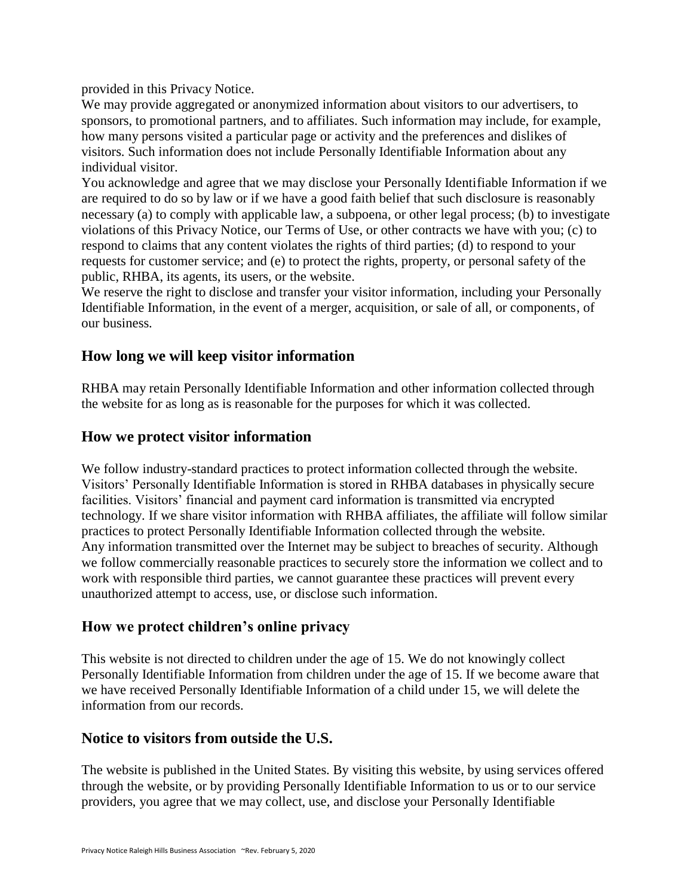provided in this Privacy Notice.

We may provide aggregated or anonymized information about visitors to our advertisers, to sponsors, to promotional partners, and to affiliates. Such information may include, for example, how many persons visited a particular page or activity and the preferences and dislikes of visitors. Such information does not include Personally Identifiable Information about any individual visitor.

You acknowledge and agree that we may disclose your Personally Identifiable Information if we are required to do so by law or if we have a good faith belief that such disclosure is reasonably necessary (a) to comply with applicable law, a subpoena, or other legal process; (b) to investigate violations of this Privacy Notice, our Terms of Use, or other contracts we have with you; (c) to respond to claims that any content violates the rights of third parties; (d) to respond to your requests for customer service; and (e) to protect the rights, property, or personal safety of the public, RHBA, its agents, its users, or the website.

We reserve the right to disclose and transfer your visitor information, including your Personally Identifiable Information, in the event of a merger, acquisition, or sale of all, or components, of our business.

#### **How long we will keep visitor information**

RHBA may retain Personally Identifiable Information and other information collected through the website for as long as is reasonable for the purposes for which it was collected.

#### **How we protect visitor information**

We follow industry-standard practices to protect information collected through the website. Visitors' Personally Identifiable Information is stored in RHBA databases in physically secure facilities. Visitors' financial and payment card information is transmitted via encrypted technology. If we share visitor information with RHBA affiliates, the affiliate will follow similar practices to protect Personally Identifiable Information collected through the website. Any information transmitted over the Internet may be subject to breaches of security. Although we follow commercially reasonable practices to securely store the information we collect and to work with responsible third parties, we cannot guarantee these practices will prevent every unauthorized attempt to access, use, or disclose such information.

#### **How we protect children's online privacy**

This website is not directed to children under the age of 15. We do not knowingly collect Personally Identifiable Information from children under the age of 15. If we become aware that we have received Personally Identifiable Information of a child under 15, we will delete the information from our records.

# **Notice to visitors from outside the U.S.**

The website is published in the United States. By visiting this website, by using services offered through the website, or by providing Personally Identifiable Information to us or to our service providers, you agree that we may collect, use, and disclose your Personally Identifiable